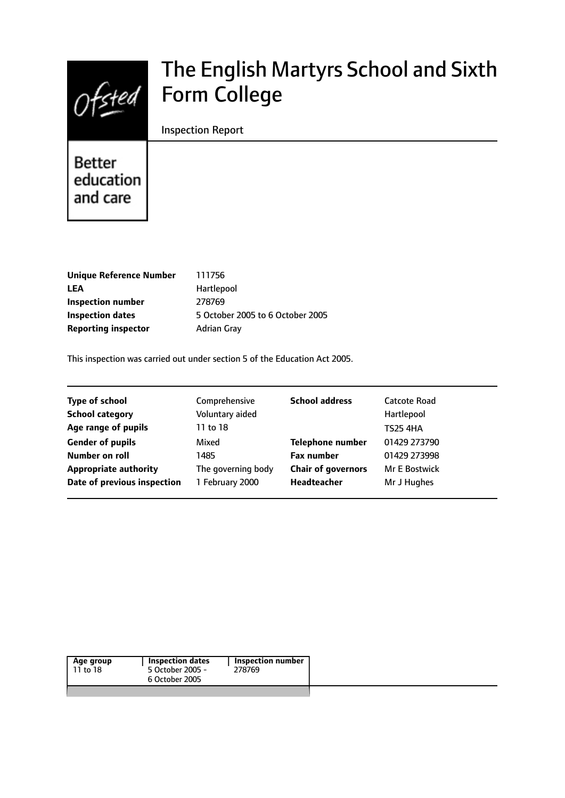

# The English Martyrs School and Sixth Form College

## Inspection Report

**Better** education and care

| <b>Unique Reference Number</b> | 111756                           |
|--------------------------------|----------------------------------|
| LEA                            | Hartlepool                       |
| <b>Inspection number</b>       | 278769                           |
| <b>Inspection dates</b>        | 5 October 2005 to 6 October 2005 |
| <b>Reporting inspector</b>     | <b>Adrian Gray</b>               |
|                                |                                  |

This inspection was carried out under section 5 of the Education Act 2005.

| <b>Type of school</b>        | Comprehensive      | <b>School address</b>     | Catcote Road         |
|------------------------------|--------------------|---------------------------|----------------------|
| <b>School category</b>       | Voluntary aided    |                           | Hartlepool           |
| Age range of pupils          | 11 to 18           |                           | <b>TS25 4HA</b>      |
| <b>Gender of pupils</b>      | Mixed              | <b>Telephone number</b>   | 01429 273790         |
| Number on roll               | 1485               | <b>Fax number</b>         | 01429 273998         |
| <b>Appropriate authority</b> | The governing body | <b>Chair of governors</b> | <b>Mr E Bostwick</b> |
| Date of previous inspection  | 1 February 2000    | <b>Headteacher</b>        | Mr J Hughes          |
|                              |                    |                           |                      |

| Age group | Inspection dates | Inspection number |
|-----------|------------------|-------------------|
| 11 to 18  | 5 October 2005 - | 278769            |
|           | 6 October 2005   |                   |
|           |                  |                   |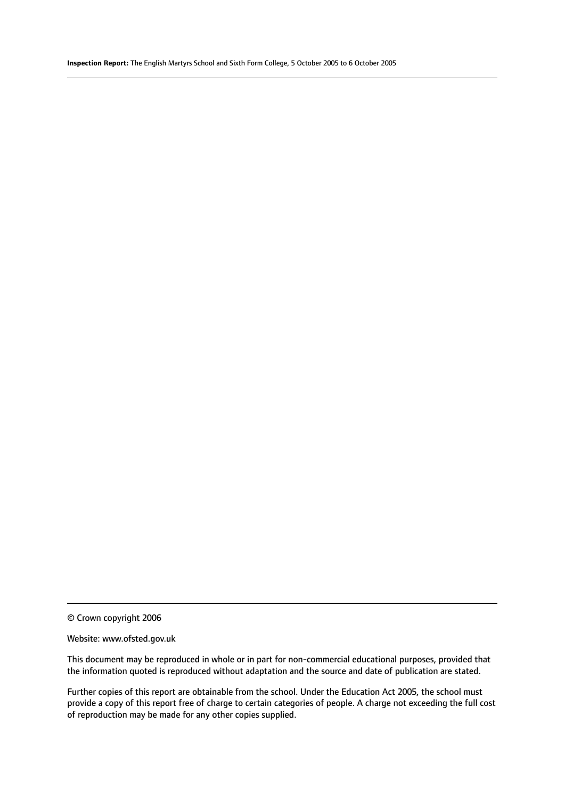© Crown copyright 2006

#### Website: www.ofsted.gov.uk

This document may be reproduced in whole or in part for non-commercial educational purposes, provided that the information quoted is reproduced without adaptation and the source and date of publication are stated.

Further copies of this report are obtainable from the school. Under the Education Act 2005, the school must provide a copy of this report free of charge to certain categories of people. A charge not exceeding the full cost of reproduction may be made for any other copies supplied.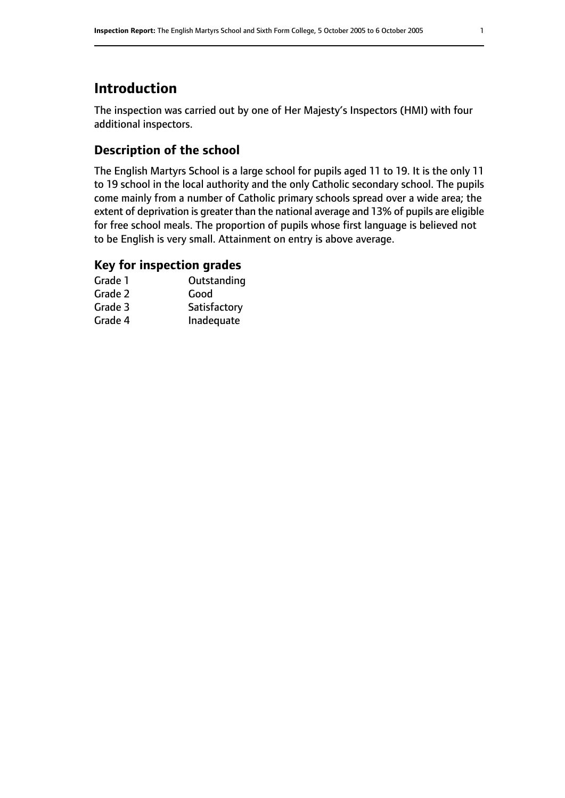# **Introduction**

The inspection was carried out by one of Her Majesty's Inspectors (HMI) with four additional inspectors.

# **Description of the school**

The English Martyrs School is a large school for pupils aged 11 to 19. It is the only 11 to 19 school in the local authority and the only Catholic secondary school. The pupils come mainly from a number of Catholic primary schools spread over a wide area; the extent of deprivation is greater than the national average and 13% of pupils are eligible for free school meals. The proportion of pupils whose first language is believed not to be English is very small. Attainment on entry is above average.

## **Key for inspection grades**

| Grade 1 | Outstanding  |
|---------|--------------|
| Grade 2 | Good         |
| Grade 3 | Satisfactory |
| Grade 4 | Inadequate   |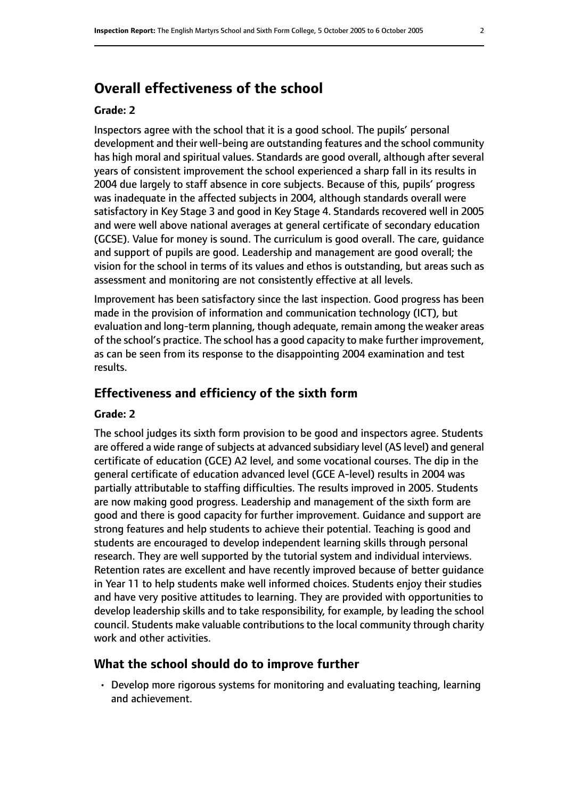# **Overall effectiveness of the school**

#### **Grade: 2**

Inspectors agree with the school that it is a good school. The pupils' personal development and their well-being are outstanding features and the school community has high moral and spiritual values. Standards are good overall, although after several years of consistent improvement the school experienced a sharp fall in its results in 2004 due largely to staff absence in core subjects. Because of this, pupils' progress was inadequate in the affected subjects in 2004, although standards overall were satisfactory in Key Stage 3 and good in Key Stage 4. Standards recovered well in 2005 and were well above national averages at general certificate of secondary education (GCSE). Value for money is sound. The curriculum is good overall. The care, guidance and support of pupils are good. Leadership and management are good overall; the vision for the school in terms of its values and ethos is outstanding, but areas such as assessment and monitoring are not consistently effective at all levels.

Improvement has been satisfactory since the last inspection. Good progress has been made in the provision of information and communication technology (ICT), but evaluation and long-term planning, though adequate, remain among the weaker areas of the school's practice. The school has a good capacity to make further improvement, as can be seen from its response to the disappointing 2004 examination and test results.

#### **Effectiveness and efficiency of the sixth form**

#### **Grade: 2**

The school judges its sixth form provision to be good and inspectors agree. Students are offered a wide range of subjects at advanced subsidiary level (AS level) and general certificate of education (GCE) A2 level, and some vocational courses. The dip in the general certificate of education advanced level (GCE A-level) results in 2004 was partially attributable to staffing difficulties. The results improved in 2005. Students are now making good progress. Leadership and management of the sixth form are good and there is good capacity for further improvement. Guidance and support are strong features and help students to achieve their potential. Teaching is good and students are encouraged to develop independent learning skills through personal research. They are well supported by the tutorial system and individual interviews. Retention rates are excellent and have recently improved because of better guidance in Year 11 to help students make well informed choices. Students enjoy their studies and have very positive attitudes to learning. They are provided with opportunities to develop leadership skills and to take responsibility, for example, by leading the school council. Students make valuable contributions to the local community through charity work and other activities.

#### **What the school should do to improve further**

• Develop more rigorous systems for monitoring and evaluating teaching, learning and achievement.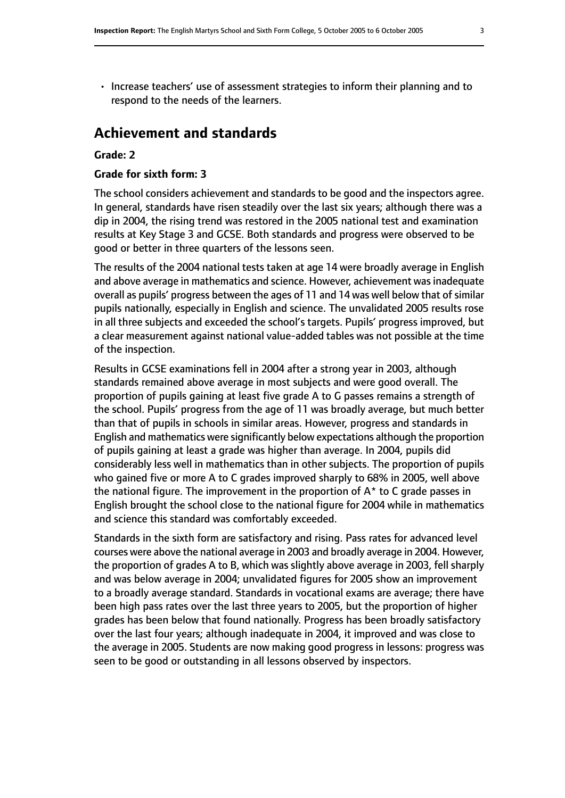• Increase teachers' use of assessment strategies to inform their planning and to respond to the needs of the learners.

# **Achievement and standards**

#### **Grade: 2**

#### **Grade for sixth form: 3**

The school considers achievement and standards to be good and the inspectors agree. In general, standards have risen steadily over the last six years; although there was a dip in 2004, the rising trend was restored in the 2005 national test and examination results at Key Stage 3 and GCSE. Both standards and progress were observed to be good or better in three quarters of the lessons seen.

The results of the 2004 national tests taken at age 14 were broadly average in English and above average in mathematics and science. However, achievement was inadequate overall as pupils' progress between the ages of 11 and 14 was well below that of similar pupils nationally, especially in English and science. The unvalidated 2005 results rose in all three subjects and exceeded the school's targets. Pupils' progress improved, but a clear measurement against national value-added tables was not possible at the time of the inspection.

Results in GCSE examinations fell in 2004 after a strong year in 2003, although standards remained above average in most subjects and were good overall. The proportion of pupils gaining at least five grade A to G passes remains a strength of the school. Pupils' progress from the age of 11 was broadly average, but much better than that of pupils in schools in similar areas. However, progress and standards in English and mathematics were significantly below expectations although the proportion of pupils gaining at least a grade was higher than average. In 2004, pupils did considerably less well in mathematics than in other subjects. The proportion of pupils who gained five or more A to C grades improved sharply to 68% in 2005, well above the national figure. The improvement in the proportion of  $A^*$  to C grade passes in English brought the school close to the national figure for 2004 while in mathematics and science this standard was comfortably exceeded.

Standards in the sixth form are satisfactory and rising. Pass rates for advanced level courses were above the national average in 2003 and broadly average in 2004. However, the proportion of grades A to B, which was slightly above average in 2003, fell sharply and was below average in 2004; unvalidated figures for 2005 show an improvement to a broadly average standard. Standards in vocational exams are average; there have been high pass rates over the last three years to 2005, but the proportion of higher grades has been below that found nationally. Progress has been broadly satisfactory over the last four years; although inadequate in 2004, it improved and was close to the average in 2005. Students are now making good progress in lessons: progress was seen to be good or outstanding in all lessons observed by inspectors.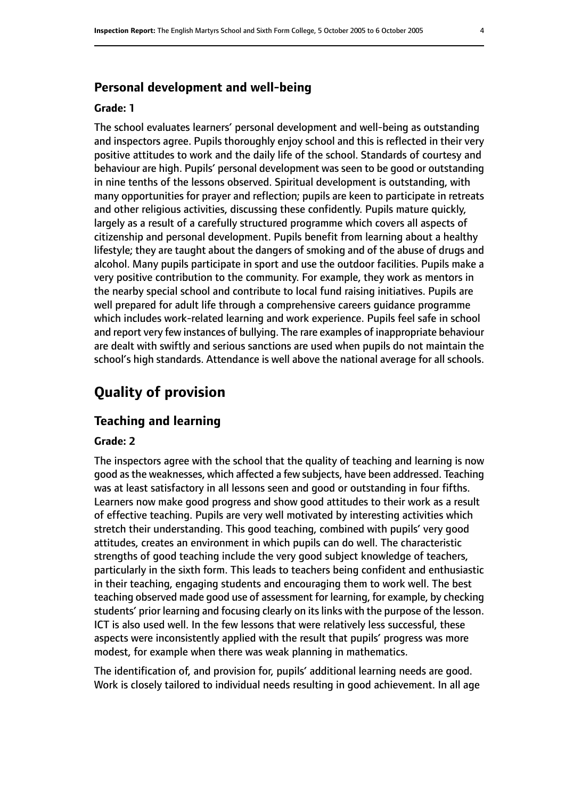#### **Personal development and well-being**

#### **Grade: 1**

The school evaluates learners' personal development and well-being as outstanding and inspectors agree. Pupils thoroughly enjoy school and this is reflected in their very positive attitudes to work and the daily life of the school. Standards of courtesy and behaviour are high. Pupils' personal development was seen to be good or outstanding in nine tenths of the lessons observed. Spiritual development is outstanding, with many opportunities for prayer and reflection; pupils are keen to participate in retreats and other religious activities, discussing these confidently. Pupils mature quickly, largely as a result of a carefully structured programme which covers all aspects of citizenship and personal development. Pupils benefit from learning about a healthy lifestyle; they are taught about the dangers of smoking and of the abuse of drugs and alcohol. Many pupils participate in sport and use the outdoor facilities. Pupils make a very positive contribution to the community. For example, they work as mentors in the nearby special school and contribute to local fund raising initiatives. Pupils are well prepared for adult life through a comprehensive careers guidance programme which includes work-related learning and work experience. Pupils feel safe in school and report very few instances of bullying. The rare examples of inappropriate behaviour are dealt with swiftly and serious sanctions are used when pupils do not maintain the school's high standards. Attendance is well above the national average for all schools.

# **Quality of provision**

#### **Teaching and learning**

#### **Grade: 2**

The inspectors agree with the school that the quality of teaching and learning is now good asthe weaknesses, which affected a few subjects, have been addressed. Teaching was at least satisfactory in all lessons seen and good or outstanding in four fifths. Learners now make good progress and show good attitudes to their work as a result of effective teaching. Pupils are very well motivated by interesting activities which stretch their understanding. This good teaching, combined with pupils' very good attitudes, creates an environment in which pupils can do well. The characteristic strengths of good teaching include the very good subject knowledge of teachers, particularly in the sixth form. This leads to teachers being confident and enthusiastic in their teaching, engaging students and encouraging them to work well. The best teaching observed made good use of assessment for learning, for example, by checking students' prior learning and focusing clearly on its links with the purpose of the lesson. ICT is also used well. In the few lessons that were relatively less successful, these aspects were inconsistently applied with the result that pupils' progress was more modest, for example when there was weak planning in mathematics.

The identification of, and provision for, pupils' additional learning needs are good. Work is closely tailored to individual needs resulting in good achievement. In all age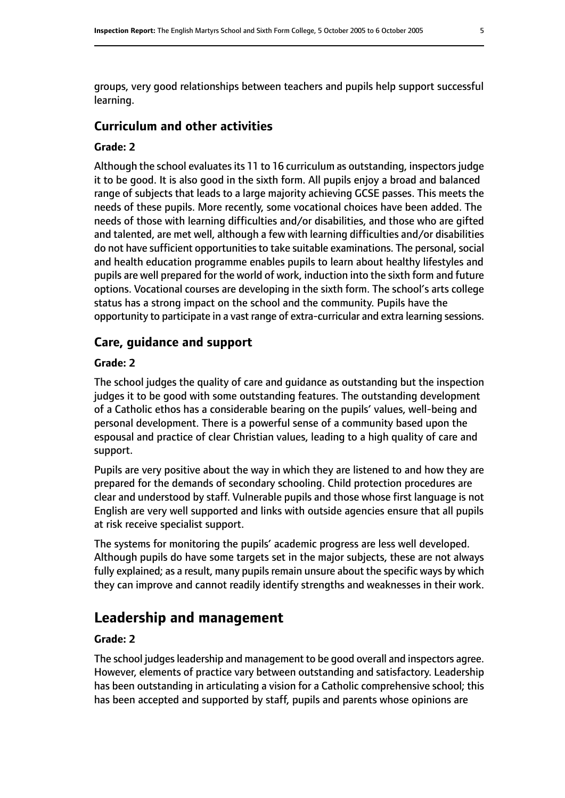groups, very good relationships between teachers and pupils help support successful learning.

#### **Curriculum and other activities**

#### **Grade: 2**

Although the school evaluates its 11 to 16 curriculum as outstanding, inspectors judge it to be good. It is also good in the sixth form. All pupils enjoy a broad and balanced range of subjects that leads to a large majority achieving GCSE passes. This meets the needs of these pupils. More recently, some vocational choices have been added. The needs of those with learning difficulties and/or disabilities, and those who are gifted and talented, are met well, although a few with learning difficulties and/or disabilities do not have sufficient opportunities to take suitable examinations. The personal, social and health education programme enables pupils to learn about healthy lifestyles and pupils are well prepared for the world of work, induction into the sixth form and future options. Vocational courses are developing in the sixth form. The school's arts college status has a strong impact on the school and the community. Pupils have the opportunity to participate in a vast range of extra-curricular and extra learning sessions.

#### **Care, guidance and support**

#### **Grade: 2**

The school judges the quality of care and guidance as outstanding but the inspection judges it to be good with some outstanding features. The outstanding development of a Catholic ethos has a considerable bearing on the pupils' values, well-being and personal development. There is a powerful sense of a community based upon the espousal and practice of clear Christian values, leading to a high quality of care and support.

Pupils are very positive about the way in which they are listened to and how they are prepared for the demands of secondary schooling. Child protection procedures are clear and understood by staff. Vulnerable pupils and those whose first language is not English are very well supported and links with outside agencies ensure that all pupils at risk receive specialist support.

The systems for monitoring the pupils' academic progress are less well developed. Although pupils do have some targets set in the major subjects, these are not always fully explained; as a result, many pupils remain unsure about the specific ways by which they can improve and cannot readily identify strengths and weaknesses in their work.

# **Leadership and management**

### **Grade: 2**

The school judges leadership and management to be good overall and inspectors agree. However, elements of practice vary between outstanding and satisfactory. Leadership has been outstanding in articulating a vision for a Catholic comprehensive school; this has been accepted and supported by staff, pupils and parents whose opinions are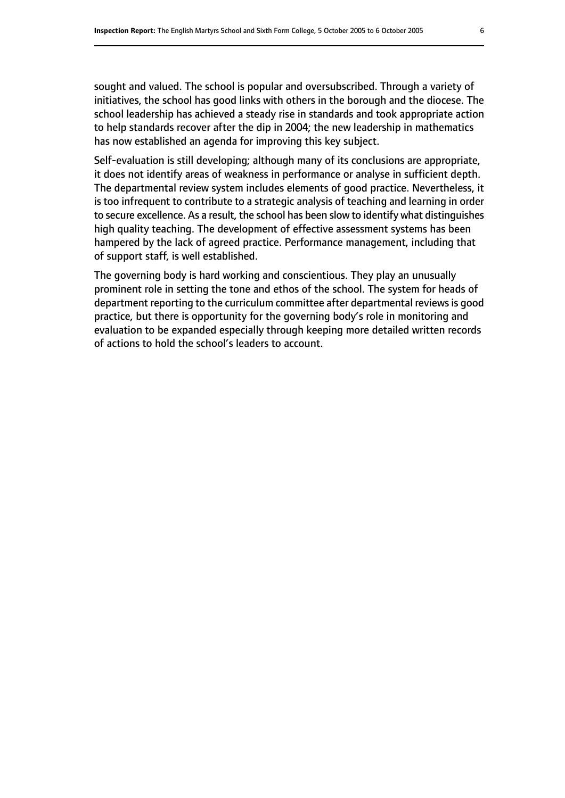sought and valued. The school is popular and oversubscribed. Through a variety of initiatives, the school has good links with others in the borough and the diocese. The school leadership has achieved a steady rise in standards and took appropriate action to help standards recover after the dip in 2004; the new leadership in mathematics has now established an agenda for improving this key subject.

Self-evaluation is still developing; although many of its conclusions are appropriate, it does not identify areas of weakness in performance or analyse in sufficient depth. The departmental review system includes elements of good practice. Nevertheless, it is too infrequent to contribute to a strategic analysis of teaching and learning in order to secure excellence. As a result, the school has been slow to identify what distinguishes high quality teaching. The development of effective assessment systems has been hampered by the lack of agreed practice. Performance management, including that of support staff, is well established.

The governing body is hard working and conscientious. They play an unusually prominent role in setting the tone and ethos of the school. The system for heads of department reporting to the curriculum committee after departmental reviews is good practice, but there is opportunity for the governing body's role in monitoring and evaluation to be expanded especially through keeping more detailed written records of actions to hold the school's leaders to account.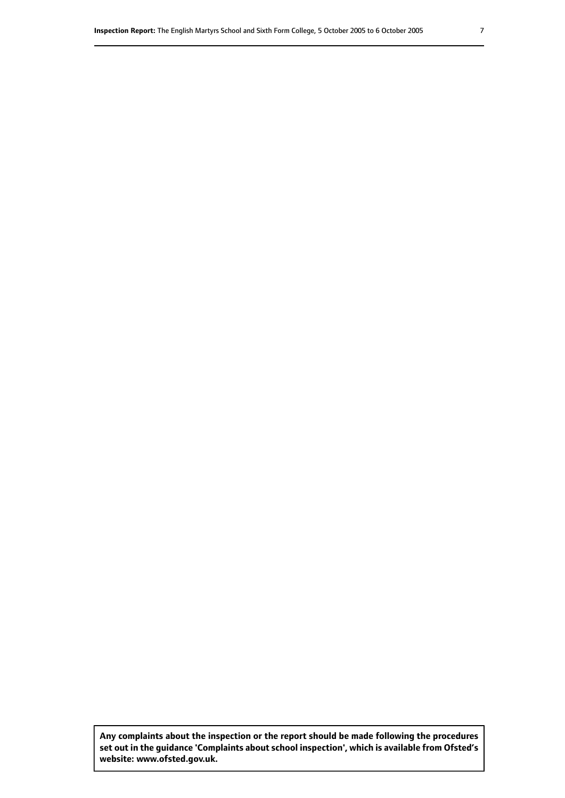**Any complaints about the inspection or the report should be made following the procedures set out inthe guidance 'Complaints about school inspection', whichis available from Ofsted's website: www.ofsted.gov.uk.**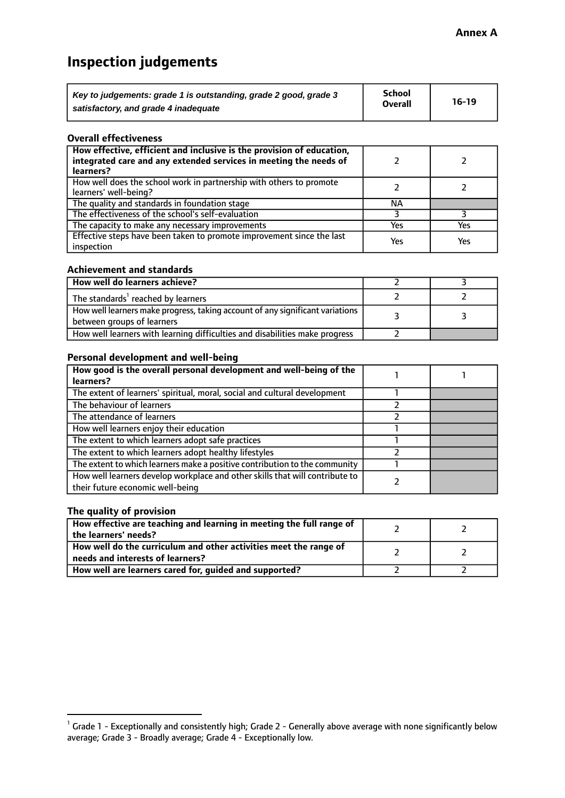# **Inspection judgements**

| Key to judgements: grade 1 is outstanding, grade 2 good, grade 3 | School         | $16-19$ |
|------------------------------------------------------------------|----------------|---------|
| satisfactory, and grade 4 inadequate                             | <b>Overall</b> |         |

#### **Overall effectiveness**

| How effective, efficient and inclusive is the provision of education,<br>integrated care and any extended services in meeting the needs of<br>learners? |     |     |
|---------------------------------------------------------------------------------------------------------------------------------------------------------|-----|-----|
| How well does the school work in partnership with others to promote<br>learners' well-being?                                                            |     |     |
| The quality and standards in foundation stage                                                                                                           | ΝA  |     |
| The effectiveness of the school's self-evaluation                                                                                                       |     |     |
| The capacity to make any necessary improvements                                                                                                         | Yes | Yes |
| Effective steps have been taken to promote improvement since the last<br>inspection                                                                     | Yes | Yes |

#### **Achievement and standards**

| How well do learners achieve?                                                                                 |  |
|---------------------------------------------------------------------------------------------------------------|--|
| The standards <sup>1</sup> reached by learners                                                                |  |
| How well learners make progress, taking account of any significant variations  <br>between groups of learners |  |
| How well learners with learning difficulties and disabilities make progress                                   |  |

#### **Personal development and well-being**

| How good is the overall personal development and well-being of the                                               |  |
|------------------------------------------------------------------------------------------------------------------|--|
| learners?                                                                                                        |  |
| The extent of learners' spiritual, moral, social and cultural development                                        |  |
| The behaviour of learners                                                                                        |  |
| The attendance of learners                                                                                       |  |
| How well learners enjoy their education                                                                          |  |
| The extent to which learners adopt safe practices                                                                |  |
| The extent to which learners adopt healthy lifestyles                                                            |  |
| The extent to which learners make a positive contribution to the community                                       |  |
| How well learners develop workplace and other skills that will contribute to<br>their future economic well-being |  |

#### **The quality of provision**

| How effective are teaching and learning in meeting the full range of<br>the learners' needs?          |  |
|-------------------------------------------------------------------------------------------------------|--|
| How well do the curriculum and other activities meet the range of<br>needs and interests of learners? |  |
| How well are learners cared for, guided and supported?                                                |  |

 $^1$  Grade 1 - Exceptionally and consistently high; Grade 2 - Generally above average with none significantly below average; Grade 3 - Broadly average; Grade 4 - Exceptionally low.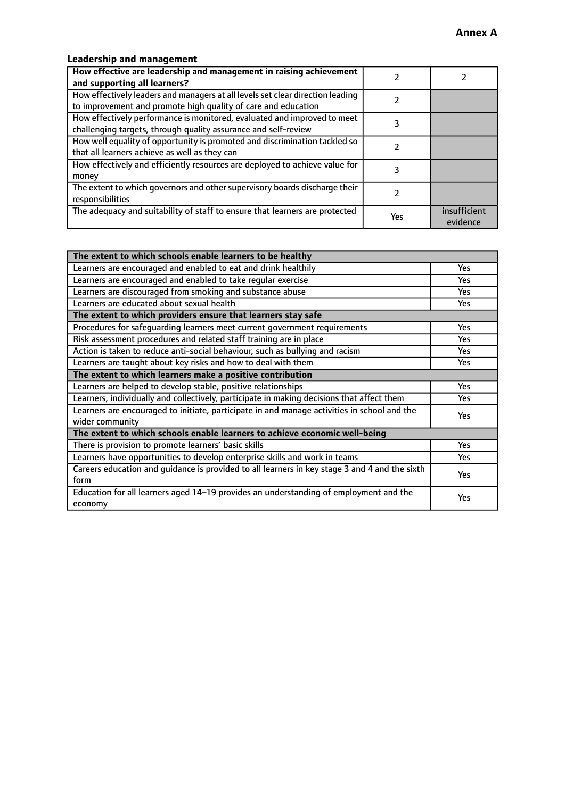# **Leadership and management**

| How effective are leadership and management in raising achievement<br>and supporting all learners?                                              |     |                          |
|-------------------------------------------------------------------------------------------------------------------------------------------------|-----|--------------------------|
| How effectively leaders and managers at all levels set clear direction leading<br>to improvement and promote high quality of care and education |     |                          |
| How effectively performance is monitored, evaluated and improved to meet<br>challenging targets, through quality assurance and self-review      |     |                          |
| How well equality of opportunity is promoted and discrimination tackled so<br>that all learners achieve as well as they can                     |     |                          |
| How effectively and efficiently resources are deployed to achieve value for<br>money                                                            |     |                          |
| The extent to which governors and other supervisory boards discharge their<br>responsibilities                                                  |     |                          |
| The adequacy and suitability of staff to ensure that learners are protected                                                                     | Yes | insufficient<br>evidence |

| The extent to which schools enable learners to be healthy                                     |            |  |
|-----------------------------------------------------------------------------------------------|------------|--|
| Learners are encouraged and enabled to eat and drink healthily                                | Yes        |  |
| Learners are encouraged and enabled to take regular exercise                                  | Yes        |  |
| Learners are discouraged from smoking and substance abuse                                     | <b>Yes</b> |  |
| Learners are educated about sexual health                                                     | Yes        |  |
| The extent to which providers ensure that learners stay safe                                  |            |  |
| Procedures for safequarding learners meet current government requirements                     | Yes        |  |
| Risk assessment procedures and related staff training are in place                            | Yes        |  |
| Action is taken to reduce anti-social behaviour, such as bullying and racism                  | <b>Yes</b> |  |
| Learners are taught about key risks and how to deal with them                                 | Yes        |  |
| The extent to which learners make a positive contribution                                     |            |  |
| Learners are helped to develop stable, positive relationships                                 | Yes        |  |
| Learners, individually and collectively, participate in making decisions that affect them     | Yes        |  |
| Learners are encouraged to initiate, participate in and manage activities in school and the   | <b>Yes</b> |  |
| wider community                                                                               |            |  |
| The extent to which schools enable learners to achieve economic well-being                    |            |  |
| There is provision to promote learners' basic skills                                          | <b>Yes</b> |  |
| Learners have opportunities to develop enterprise skills and work in teams                    | <b>Yes</b> |  |
| Careers education and guidance is provided to all learners in key stage 3 and 4 and the sixth | Yes        |  |
| form                                                                                          |            |  |
| Education for all learners aged 14-19 provides an understanding of employment and the         | Yes        |  |
| economy                                                                                       |            |  |